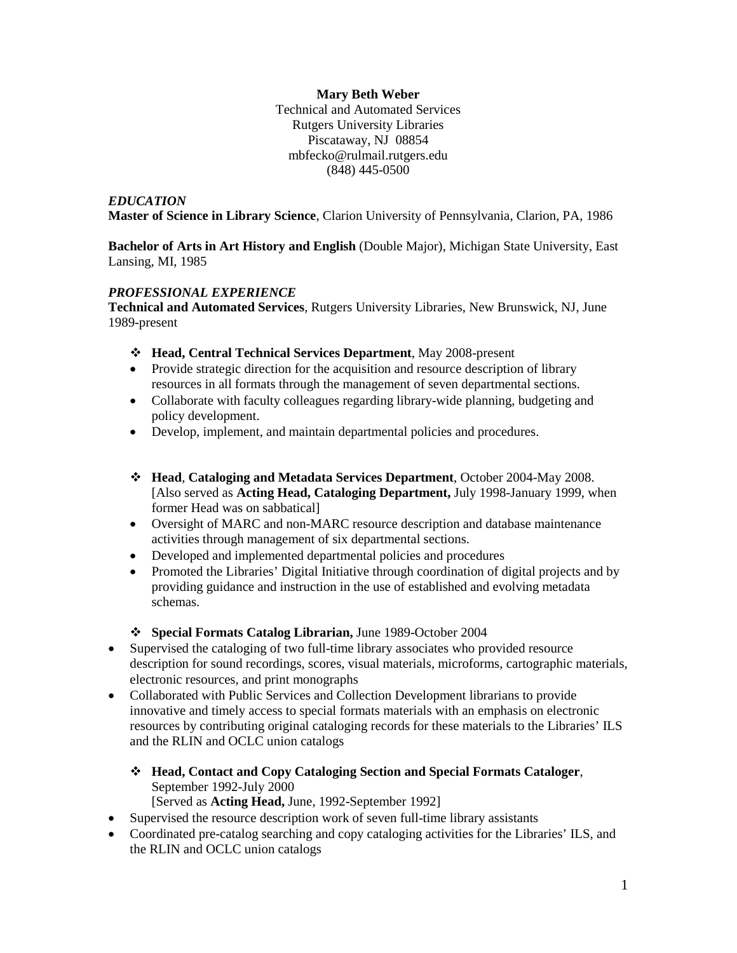# **Mary Beth Weber**

Technical and Automated Services Rutgers University Libraries Piscataway, NJ 08854 mbfecko@rulmail.rutgers.edu (848) 445-0500

# *EDUCATION*

**Master of Science in Library Science**, Clarion University of Pennsylvania, Clarion, PA, 1986

**Bachelor of Arts in Art History and English** (Double Major), Michigan State University, East Lansing, MI, 1985

# *PROFESSIONAL EXPERIENCE*

**Technical and Automated Services**, Rutgers University Libraries, New Brunswick, NJ, June 1989-present

- **Head, Central Technical Services Department**, May 2008-present
- Provide strategic direction for the acquisition and resource description of library resources in all formats through the management of seven departmental sections.
- Collaborate with faculty colleagues regarding library-wide planning, budgeting and policy development.
- Develop, implement, and maintain departmental policies and procedures.
- **Head**, **Cataloging and Metadata Services Department**, October 2004-May 2008. [Also served as **Acting Head, Cataloging Department,** July 1998-January 1999, when former Head was on sabbatical]
- Oversight of MARC and non-MARC resource description and database maintenance activities through management of six departmental sections.
- Developed and implemented departmental policies and procedures
- Promoted the Libraries' Digital Initiative through coordination of digital projects and by providing guidance and instruction in the use of established and evolving metadata schemas.
- **Special Formats Catalog Librarian,** June 1989-October 2004
- Supervised the cataloging of two full-time library associates who provided resource description for sound recordings, scores, visual materials, microforms, cartographic materials, electronic resources, and print monographs
- Collaborated with Public Services and Collection Development librarians to provide innovative and timely access to special formats materials with an emphasis on electronic resources by contributing original cataloging records for these materials to the Libraries' ILS and the RLIN and OCLC union catalogs
	- **Head, Contact and Copy Cataloging Section and Special Formats Cataloger**, September 1992-July 2000 [Served as **Acting Head,** June, 1992-September 1992]
- Supervised the resource description work of seven full-time library assistants
- Coordinated pre-catalog searching and copy cataloging activities for the Libraries' ILS, and the RLIN and OCLC union catalogs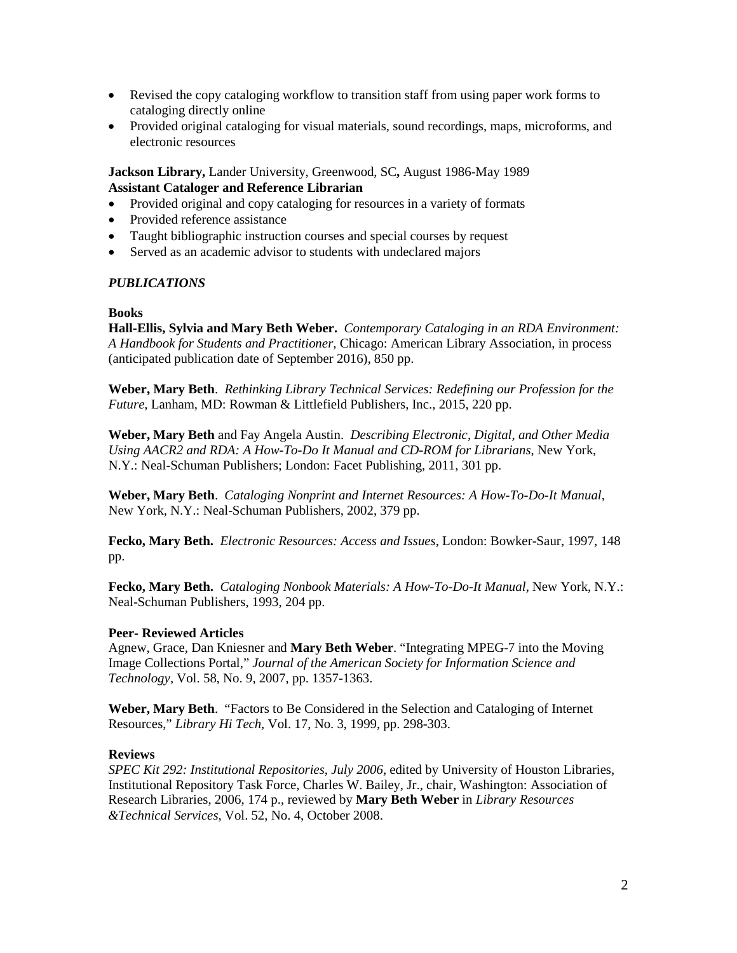- Revised the copy cataloging workflow to transition staff from using paper work forms to cataloging directly online
- Provided original cataloging for visual materials, sound recordings, maps, microforms, and electronic resources

**Jackson Library,** Lander University, Greenwood, SC**,** August 1986-May 1989 **Assistant Cataloger and Reference Librarian**

- Provided original and copy cataloging for resources in a variety of formats
- Provided reference assistance
- Taught bibliographic instruction courses and special courses by request
- Served as an academic advisor to students with undeclared majors

#### *PUBLICATIONS*

# **Books**

**Hall-Ellis, Sylvia and Mary Beth Weber.** *Contemporary Cataloging in an RDA Environment: A Handbook for Students and Practitioner,* Chicago: American Library Association, in process (anticipated publication date of September 2016), 850 pp.

**Weber, Mary Beth**. *Rethinking Library Technical Services: Redefining our Profession for the Future*, Lanham, MD: Rowman & Littlefield Publishers, Inc., 2015, 220 pp.

**Weber, Mary Beth** and Fay Angela Austin. *Describing Electronic, Digital, and Other Media Using AACR2 and RDA: A How-To-Do It Manual and CD-ROM for Librarians*, New York, N.Y.: Neal-Schuman Publishers; London: Facet Publishing, 2011, 301 pp.

**Weber, Mary Beth**. *Cataloging Nonprint and Internet Resources: A How-To-Do-It Manual*, New York, N.Y.: Neal-Schuman Publishers, 2002, 379 pp.

**Fecko, Mary Beth.** *Electronic Resources: Access and Issues*, London: Bowker-Saur, 1997, 148 pp.

**Fecko, Mary Beth.** *Cataloging Nonbook Materials: A How-To-Do-It Manual*, New York, N.Y.: Neal-Schuman Publishers, 1993, 204 pp.

#### **Peer- Reviewed Articles**

Agnew, Grace, Dan Kniesner and **Mary Beth Weber**. "Integrating MPEG-7 into the Moving Image Collections Portal," *Journal of the American Society for Information Science and Technology*, Vol. 58, No. 9, 2007, pp. 1357-1363.

**Weber, Mary Beth**. "Factors to Be Considered in the Selection and Cataloging of Internet Resources," *Library Hi Tech*, Vol. 17, No. 3, 1999, pp. 298-303.

#### **Reviews**

*SPEC Kit 292: Institutional Repositories, July 2006*, edited by University of Houston Libraries, Institutional Repository Task Force, Charles W. Bailey, Jr., chair, Washington: Association of Research Libraries, 2006, 174 p., reviewed by **Mary Beth Weber** in *Library Resources &Technical Services,* Vol. 52, No. 4, October 2008.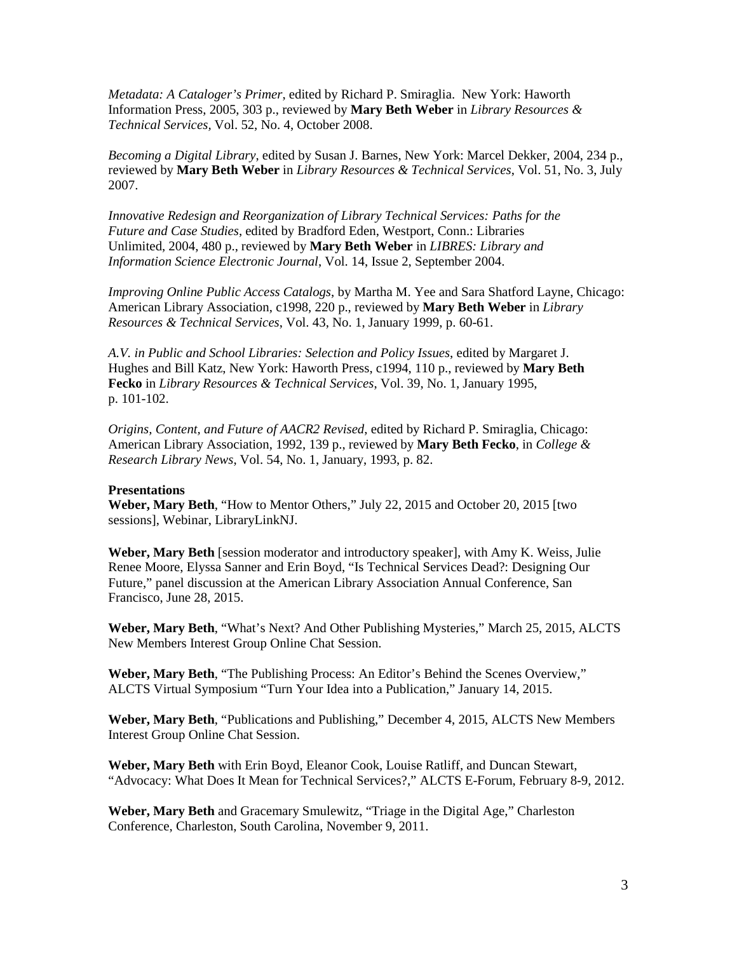*Metadata: A Cataloger's Primer*, edited by Richard P. Smiraglia. New York: Haworth Information Press, 2005, 303 p., reviewed by **Mary Beth Weber** in *Library Resources & Technical Services,* Vol. 52, No. 4, October 2008.

*Becoming a Digital Library*, edited by Susan J. Barnes, New York: Marcel Dekker, 2004, 234 p., reviewed by **Mary Beth Weber** in *Library Resources & Technical Services*, Vol. 51, No. 3, July 2007.

*Innovative Redesign and Reorganization of Library Technical Services: Paths for the Future and Case Studies*, edited by Bradford Eden, Westport, Conn.: Libraries Unlimited, 2004, 480 p., reviewed by **Mary Beth Weber** in *LIBRES: Library and Information Science Electronic Journal*, Vol. 14, Issue 2, September 2004.

*Improving Online Public Access Catalogs*, by Martha M. Yee and Sara Shatford Layne, Chicago: American Library Association, c1998, 220 p., reviewed by **Mary Beth Weber** in *Library Resources & Technical Services*, Vol. 43, No. 1, January 1999, p. 60-61.

*A.V. in Public and School Libraries: Selection and Policy Issues*, edited by Margaret J. Hughes and Bill Katz, New York: Haworth Press, c1994, 110 p., reviewed by **Mary Beth Fecko** in *Library Resources & Technical Services*, Vol. 39, No. 1, January 1995, p. 101-102.

*Origins, Content, and Future of AACR2 Revised*, edited by Richard P. Smiraglia, Chicago: American Library Association, 1992, 139 p., reviewed by **Mary Beth Fecko**, in *College & Research Library News*, Vol. 54, No. 1, January, 1993, p. 82.

#### **Presentations**

**Weber, Mary Beth**, "How to Mentor Others," July 22, 2015 and October 20, 2015 [two sessions], Webinar, LibraryLinkNJ.

**Weber, Mary Beth** [session moderator and introductory speaker], with Amy K. Weiss, Julie Renee Moore, Elyssa Sanner and Erin Boyd, "Is Technical Services Dead?: Designing Our Future," panel discussion at the American Library Association Annual Conference, San Francisco, June 28, 2015.

**Weber, Mary Beth**, "What's Next? And Other Publishing Mysteries," March 25, 2015, ALCTS New Members Interest Group Online Chat Session.

**Weber, Mary Beth**, "The Publishing Process: An Editor's Behind the Scenes Overview," ALCTS Virtual Symposium "Turn Your Idea into a Publication," January 14, 2015.

**Weber, Mary Beth**, "Publications and Publishing," December 4, 2015, ALCTS New Members Interest Group Online Chat Session.

**Weber, Mary Beth** with Erin Boyd, Eleanor Cook, Louise Ratliff, and Duncan Stewart, "Advocacy: What Does It Mean for Technical Services?," ALCTS E-Forum, February 8-9, 2012.

**Weber, Mary Beth** and Gracemary Smulewitz, "Triage in the Digital Age," Charleston Conference, Charleston, South Carolina, November 9, 2011.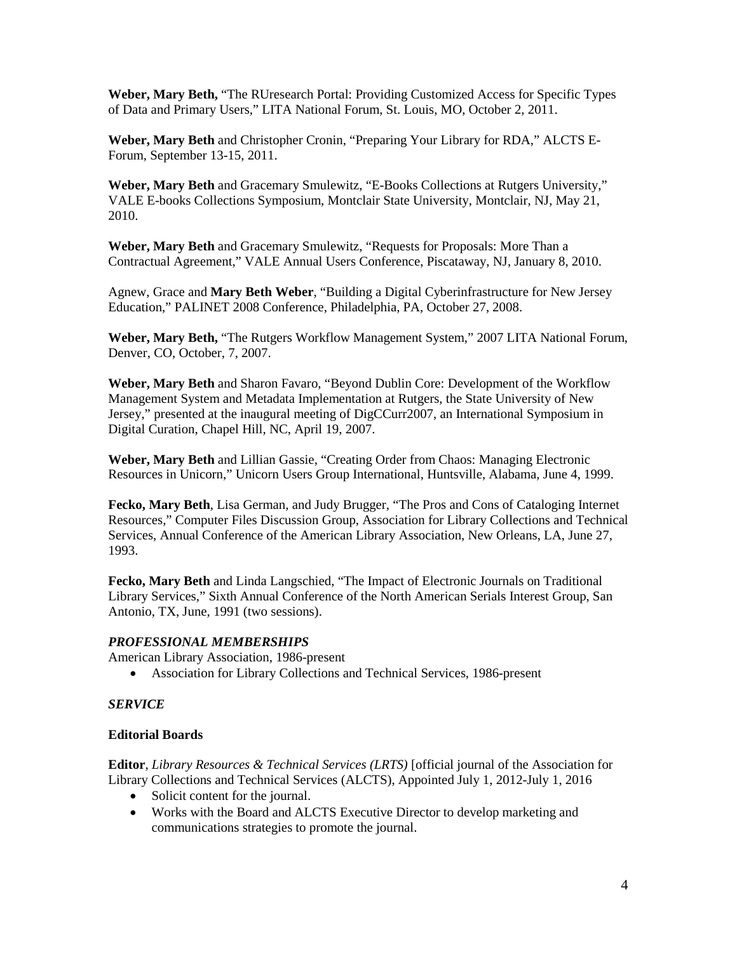**Weber, Mary Beth,** "The RUresearch Portal: Providing Customized Access for Specific Types of Data and Primary Users," LITA National Forum, St. Louis, MO, October 2, 2011.

**Weber, Mary Beth** and Christopher Cronin, "Preparing Your Library for RDA," ALCTS E-Forum, September 13-15, 2011.

**Weber, Mary Beth** and Gracemary Smulewitz, "E-Books Collections at Rutgers University," VALE E-books Collections Symposium, Montclair State University, Montclair, NJ, May 21, 2010.

**Weber, Mary Beth** and Gracemary Smulewitz, "Requests for Proposals: More Than a Contractual Agreement," VALE Annual Users Conference, Piscataway, NJ, January 8, 2010.

Agnew, Grace and **Mary Beth Weber**, "Building a Digital Cyberinfrastructure for New Jersey Education," PALINET 2008 Conference, Philadelphia, PA, October 27, 2008.

**Weber, Mary Beth,** "The Rutgers Workflow Management System," 2007 LITA National Forum, Denver, CO, October, 7, 2007.

**Weber, Mary Beth** and Sharon Favaro, "Beyond Dublin Core: Development of the Workflow Management System and Metadata Implementation at Rutgers, the State University of New Jersey," presented at the inaugural meeting of DigCCurr2007, an International Symposium in Digital Curation, Chapel Hill, NC, April 19, 2007.

**Weber, Mary Beth** and Lillian Gassie, "Creating Order from Chaos: Managing Electronic Resources in Unicorn," Unicorn Users Group International, Huntsville, Alabama, June 4, 1999.

**Fecko, Mary Beth**, Lisa German, and Judy Brugger, "The Pros and Cons of Cataloging Internet Resources," Computer Files Discussion Group, Association for Library Collections and Technical Services, Annual Conference of the American Library Association, New Orleans, LA, June 27, 1993.

**Fecko, Mary Beth** and Linda Langschied, "The Impact of Electronic Journals on Traditional Library Services," Sixth Annual Conference of the North American Serials Interest Group, San Antonio, TX, June, 1991 (two sessions).

# *PROFESSIONAL MEMBERSHIPS*

American Library Association, 1986-present

• Association for Library Collections and Technical Services, 1986-present

# *SERVICE*

#### **Editorial Boards**

**Editor**, *Library Resources & Technical Services (LRTS)* [official journal of the Association for Library Collections and Technical Services (ALCTS), Appointed July 1, 2012-July 1, 2016

- Solicit content for the journal.
- Works with the Board and ALCTS Executive Director to develop marketing and communications strategies to promote the journal.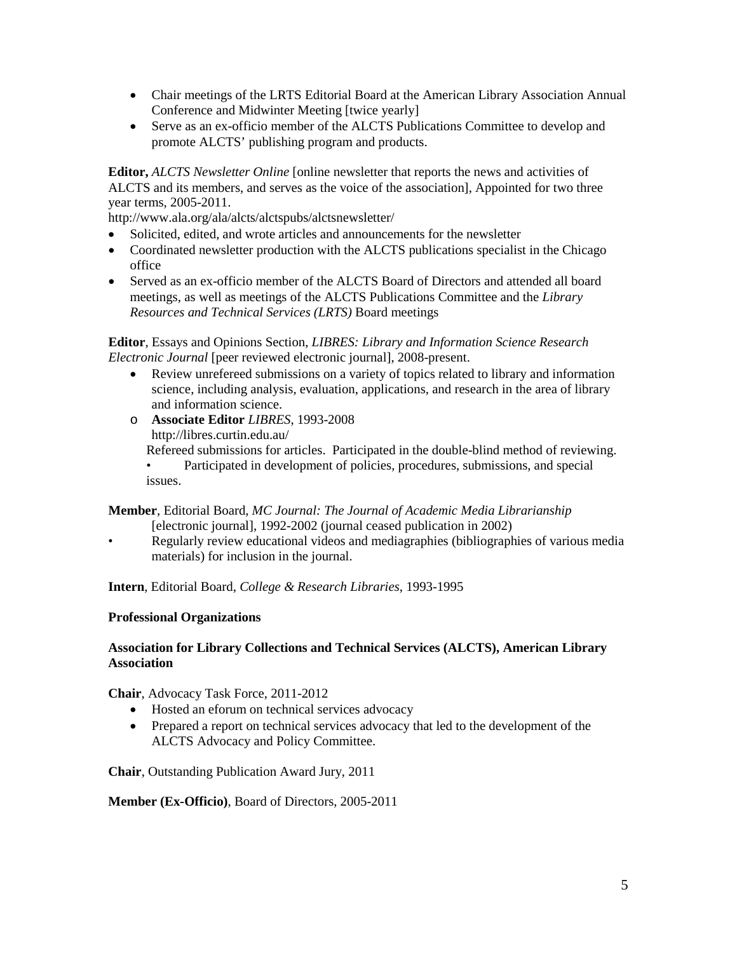- Chair meetings of the LRTS Editorial Board at the American Library Association Annual Conference and Midwinter Meeting [twice yearly]
- Serve as an ex-officio member of the ALCTS Publications Committee to develop and promote ALCTS' publishing program and products.

**Editor,** *ALCTS Newsletter Online* [online newsletter that reports the news and activities of ALCTS and its members, and serves as the voice of the association], Appointed for two three year terms, 2005-2011.

http://www.ala.org/ala/alcts/alctspubs/alctsnewsletter/

- Solicited, edited, and wrote articles and announcements for the newsletter
- Coordinated newsletter production with the ALCTS publications specialist in the Chicago office
- Served as an ex-officio member of the ALCTS Board of Directors and attended all board meetings, as well as meetings of the ALCTS Publications Committee and the *Library Resources and Technical Services (LRTS)* Board meetings

**Editor**, Essays and Opinions Section, *LIBRES: Library and Information Science Research Electronic Journal* [peer reviewed electronic journal], 2008-present.

- Review unrefereed submissions on a variety of topics related to library and information science, including analysis, evaluation, applications, and research in the area of library and information science.
- o **Associate Editor** *LIBRES*, 1993-2008 http://libres.curtin.edu.au/ Refereed submissions for articles. Participated in the double-blind method of reviewing. • Participated in development of policies, procedures, submissions, and special issues.

**Member**, Editorial Board, *MC Journal: The Journal of Academic Media Librarianship* [electronic journal], 1992-2002 (journal ceased publication in 2002)

• Regularly review educational videos and mediagraphies (bibliographies of various media materials) for inclusion in the journal.

**Intern**, Editorial Board, *College & Research Libraries*, 1993-1995

#### **Professional Organizations**

# **Association for Library Collections and Technical Services (ALCTS), American Library Association**

**Chair**, Advocacy Task Force, 2011-2012

- Hosted an eforum on technical services advocacy
- Prepared a report on technical services advocacy that led to the development of the ALCTS Advocacy and Policy Committee.

**Chair**, Outstanding Publication Award Jury, 2011

#### **Member (Ex-Officio)**, Board of Directors, 2005-2011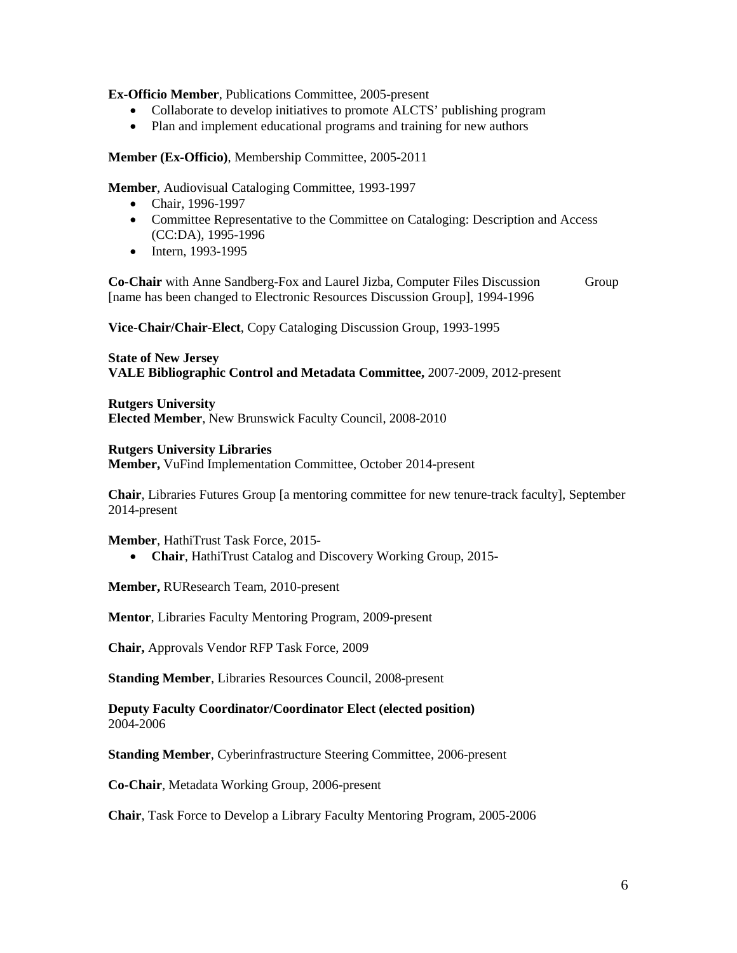**Ex-Officio Member**, Publications Committee, 2005-present

- Collaborate to develop initiatives to promote ALCTS' publishing program
- Plan and implement educational programs and training for new authors

**Member (Ex-Officio)**, Membership Committee, 2005-2011

**Member**, Audiovisual Cataloging Committee, 1993-1997

- Chair, 1996-1997
- Committee Representative to the Committee on Cataloging: Description and Access (CC:DA), 1995-1996
- Intern, 1993-1995

**Co-Chair** with Anne Sandberg-Fox and Laurel Jizba, Computer Files Discussion Group [name has been changed to Electronic Resources Discussion Group], 1994-1996

**Vice-Chair/Chair-Elect**, Copy Cataloging Discussion Group, 1993-1995

**State of New Jersey VALE Bibliographic Control and Metadata Committee,** 2007-2009, 2012-present

**Rutgers University Elected Member**, New Brunswick Faculty Council, 2008-2010

# **Rutgers University Libraries**

**Member,** VuFind Implementation Committee, October 2014-present

**Chair**, Libraries Futures Group [a mentoring committee for new tenure-track faculty], September 2014-present

**Member**, HathiTrust Task Force, 2015-

• **Chair**, HathiTrust Catalog and Discovery Working Group, 2015-

**Member,** RUResearch Team, 2010-present

**Mentor**, Libraries Faculty Mentoring Program, 2009-present

**Chair,** Approvals Vendor RFP Task Force, 2009

**Standing Member**, Libraries Resources Council, 2008-present

**Deputy Faculty Coordinator/Coordinator Elect (elected position)** 2004-2006

**Standing Member**, Cyberinfrastructure Steering Committee, 2006-present

**Co-Chair**, Metadata Working Group, 2006-present

**Chair**, Task Force to Develop a Library Faculty Mentoring Program, 2005-2006